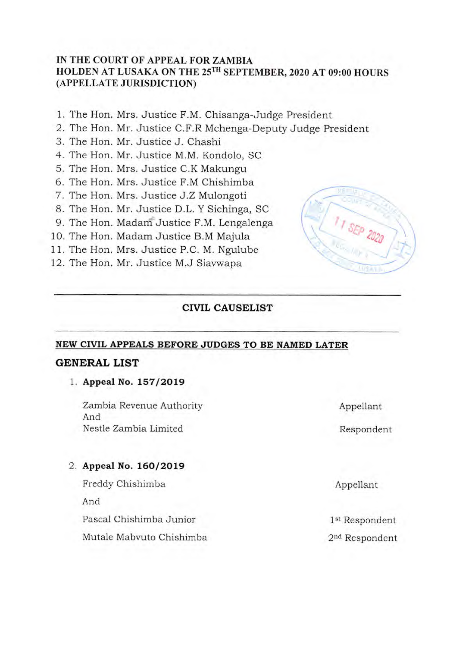# **IN THE COURT OF APPEAL FOR ZAMBIA**  HOLDEN AT LUSAKA ON THE 25<sup>TH</sup> SEPTEMBER, 2020 AT 09:00 HOURS **(APPELLATE JURISDICTION)**

- 1. The Hon. Mrs. Justice F.M. Chisanga-Judge President
- 2. The Hon. Mr. Justice C.F.R Mchenga-Deputy Judge President
- 3. The Hon. Mr. Justice J. Chashi
- 4. The Hon. Mr. Justice M.M. Kondolo, SC
- 5. The Hon. Mrs. Justice C.K Makungu
- 6. The Hon. Mrs. Justice F.M Chishimba
- 7. The Hon. Mrs. Justice J.Z Mulongoti
- 8. The Hon. Mr. Justice D.L. Y Sichinga, sc
- 9. The Hon. Madam Justice F.M. Lengalenga
- 10. The Hon. Madam Justice B.M Majula
- 11. The Hon. Mrs. Justice P.C. M. Ngulube
- 12. The Hon. Mr. Justice M.J Siavwapa

# **CIVIL CAUSELIST**

# **NEW CIVIL APPEALS BEFORE JUDGES TO BE NAMED LATER**

# **GENERAL LIST**

# **1. Appeal No. 157/2019**

Zambia Revenue Authority And Nestle Zambia Limited

#### **2. Appeal No. 160/2019**

Freddy Chishimba And Pascal Chishimba Junior Mutale Mabruto Chishimba



Respondent

Appellant

Appellant

1st Respondent 2<sup>nd</sup> Respondent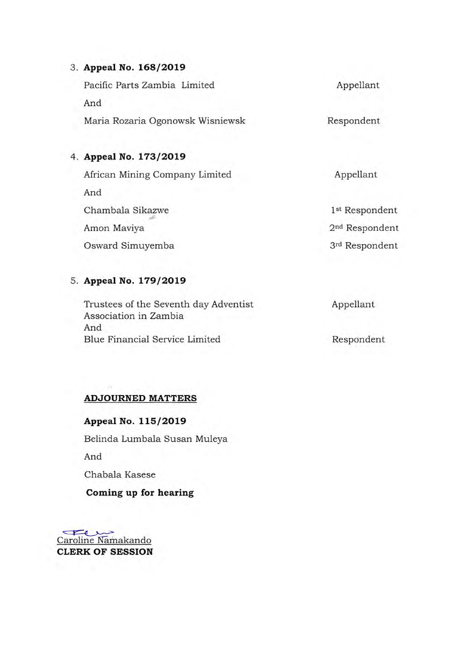# **3. Appeal No. 168/2019**

Pacific Parts Zambia Limited And Maria Rozaria Ogonowsk Wisniewsk Appellant Respondent

# **4. Appeal No. 173/2019**

African Mining Company Limited And Chambala Sikazwe Amon Maviya Osward Simuyemba Appellant 1<sup>st</sup> Respondent 2nd Respondent 3rd Respondent

#### **5. Appeal No. 179/2019**

| Trustees of the Seventh day Adventist | Appellant |
|---------------------------------------|-----------|
| Association in Zambia<br>And          |           |
|                                       |           |

#### **ADJOURNED MATTERS**

# **Appeal No. 115/2019**

Belinda Lumbala Susan Muleya

And

Chabala Kasese

### **Coming up for hearing**

Caroline Namakando **CLERK OF SESSION**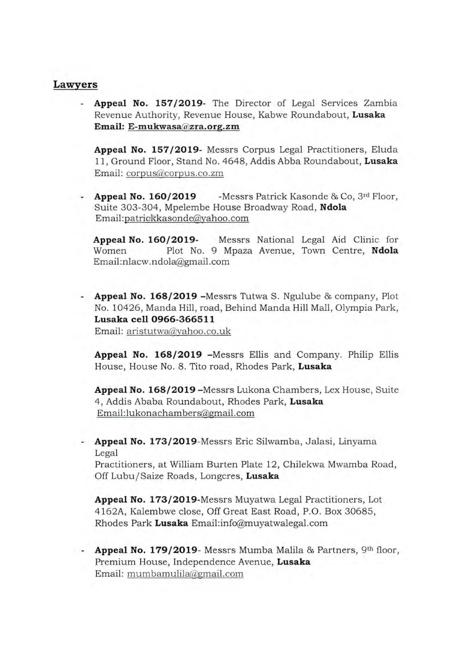### **Lawyers**

**Appeal No. 157/2019-** The Director of Legal Services Zambia Revenue Authority, Revenue House, Kabwe Roundabout, **Lusaka Email: E-mukwasaazra. org.zm** 

**Appeal No. 157/2019-** Messrs Corpus Legal Practitioners, Eluda 11, Ground Floor, Stand No. 4648, Addis Abba Roundabout, **Lusaka**  Email: corpus@corpus.co.zm

**Appeal No. 160/ 2019** -Messrs Patrick Kasonde & Co, 3rd Floor, Suite 303-304, Mpelembe House Broadway Road, **Ndola**  Email:patrickkasonde@yahoo.com

**Appeal No. 160/2019-** Messrs National Legal Aid Clinic for Women Plot No. 9 Mpaza Avenue, Town Centre, **Ndola**  Email:nlacw.ndola@gmail.com

**Appeal No. 168/2019** -Messrs Tutwa S. Ngulube & company, Plot No. 10426, Manda Hill, road, Behind Manda Hill Mall, Olympia Park, **Lusaka cell 0966-366511**  Email: aristutwa@yahoo.co.uk

**Appeal No. 168/2019** -Messrs Ellis and Company. Philip Ellis House, House No. 8. Tito road, Rhodes Park, **Lusaka** 

**Appeal No. 168/2019** -Messrs Lukona Chambers, Lex House, Suite 4, Addis Ababa Roundabout, Rhodes Park, **Lusaka**  Email:lukonachambers@,gmail.com

- **Appeal No. 173/2019-Messrs** Eric Silwamba, Jalasi, Linyama Legal

Practitioners, at William Burten Plate 12, Chilekwa Mwamba Road, Off Lubu/Saize Roads, Longcres, **Lusaka** 

**Appeal No. 173/2019-Messrs** Muyatwa Legal Practitioners, Lot 4162A, Kalembwe close, Off Great East Road, P.O. Box 30685, Rhodes Park Lusaka Email:info@muyatwalegal.com

- **Appeal No. 179/2019**- Messrs Mumba Malila & Partners, 9th floor, Premium House, Independence Avenue, **Lusaka**  Email: mum bamulilagmai1.com